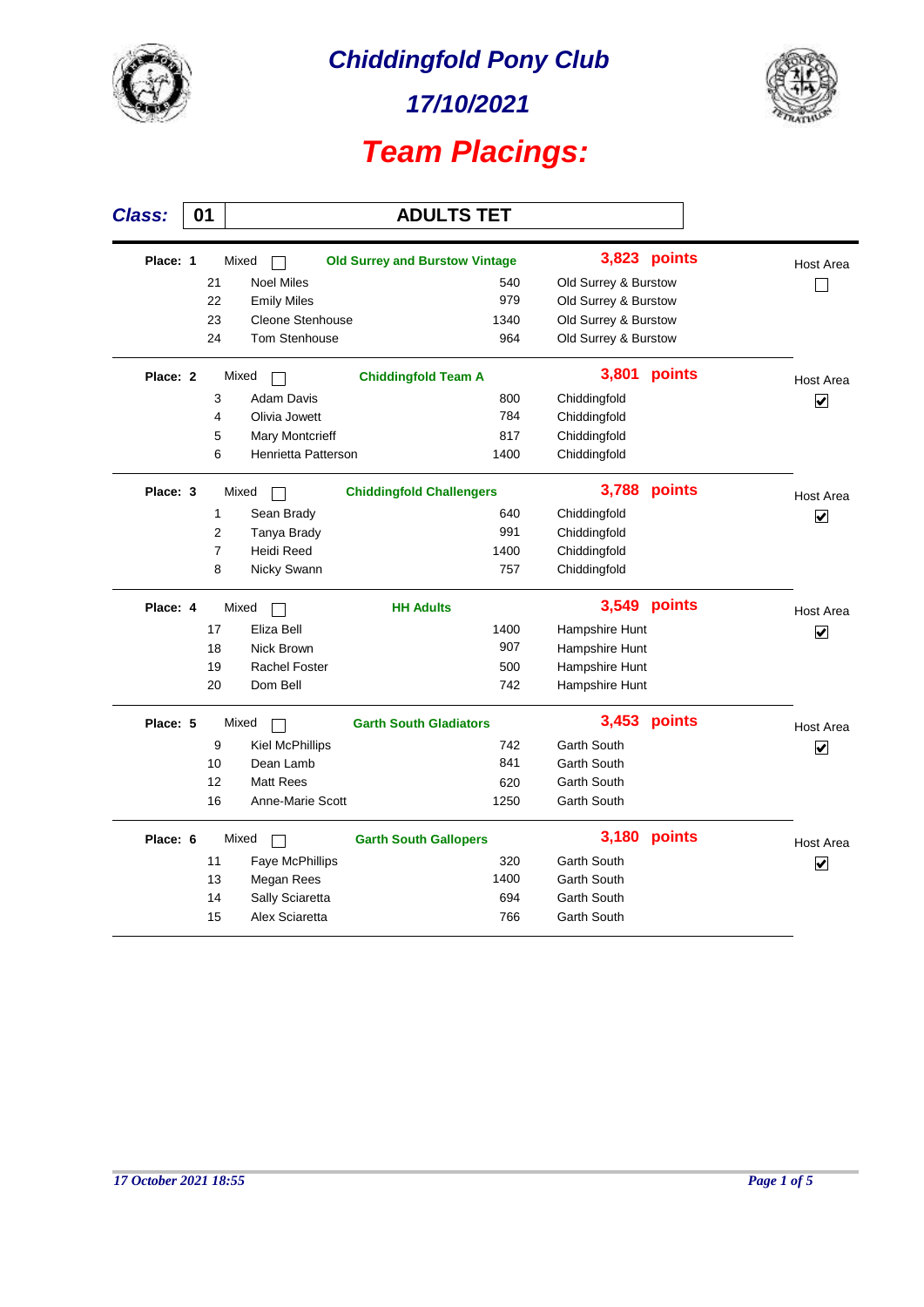

*17/10/2021*



 $\overline{\phantom{a}}$ 

| <b>Class:</b> | 01 |                |                        | <b>ADULTS TET</b>                     |                      |        |                                 |
|---------------|----|----------------|------------------------|---------------------------------------|----------------------|--------|---------------------------------|
| Place: 1      |    |                | Mixed                  | <b>Old Surrey and Burstow Vintage</b> | 3,823                | points | Host Area                       |
|               |    | 21             | <b>Noel Miles</b>      | 540                                   | Old Surrey & Burstow |        |                                 |
|               |    | 22             | <b>Emily Miles</b>     | 979                                   | Old Surrey & Burstow |        |                                 |
|               |    | 23             | Cleone Stenhouse       | 1340                                  | Old Surrey & Burstow |        |                                 |
|               |    | 24             | <b>Tom Stenhouse</b>   | 964                                   | Old Surrey & Burstow |        |                                 |
| Place: 2      |    |                | Mixed                  | <b>Chiddingfold Team A</b>            | 3,801                | points | Host Area                       |
|               |    | 3              | <b>Adam Davis</b>      | 800                                   | Chiddingfold         |        | $\overline{\mathbf{v}}$         |
|               |    | 4              | Olivia Jowett          | 784                                   | Chiddingfold         |        |                                 |
|               |    | 5              | <b>Mary Montcrieff</b> | 817                                   | Chiddingfold         |        |                                 |
|               |    | 6              | Henrietta Patterson    | 1400                                  | Chiddingfold         |        |                                 |
| Place: 3      |    |                | Mixed                  | <b>Chiddingfold Challengers</b>       | 3,788                | points | <b>Host Area</b>                |
|               |    | $\mathbf{1}$   | Sean Brady             | 640                                   | Chiddingfold         |        | $\overline{\mathbf{v}}$         |
|               |    | $\overline{2}$ | Tanya Brady            | 991                                   | Chiddingfold         |        |                                 |
|               |    | $\overline{7}$ | Heidi Reed             | 1400                                  | Chiddingfold         |        |                                 |
|               |    | 8              | Nicky Swann            | 757                                   | Chiddingfold         |        |                                 |
| Place: 4      |    |                | Mixed                  | <b>HH Adults</b>                      | 3,549                | points | <b>Host Area</b>                |
|               |    | 17             | Eliza Bell             | 1400                                  | Hampshire Hunt       |        | $\blacktriangledown$            |
|               |    | 18             | Nick Brown             | 907                                   | Hampshire Hunt       |        |                                 |
|               |    | 19             | <b>Rachel Foster</b>   | 500                                   | Hampshire Hunt       |        |                                 |
|               |    | 20             | Dom Bell               | 742                                   | Hampshire Hunt       |        |                                 |
| Place: 5      |    |                | Mixed                  | <b>Garth South Gladiators</b>         | 3,453                | points | <b>Host Area</b>                |
|               |    | 9              | <b>Kiel McPhillips</b> | 742                                   | <b>Garth South</b>   |        | $\overline{\blacktriangledown}$ |
|               |    | 10             | Dean Lamb              | 841                                   | <b>Garth South</b>   |        |                                 |
|               |    | 12             | <b>Matt Rees</b>       | 620                                   | <b>Garth South</b>   |        |                                 |
|               |    | 16             | Anne-Marie Scott       | 1250                                  | <b>Garth South</b>   |        |                                 |
| Place: 6      |    |                | Mixed                  | <b>Garth South Gallopers</b>          | 3,180                | points | Host Area                       |
|               |    | 11             | Faye McPhillips        | 320                                   | <b>Garth South</b>   |        | $\overline{\mathbf{v}}$         |
|               |    | 13             | Megan Rees             | 1400                                  | <b>Garth South</b>   |        |                                 |
|               |    | 14             | Sally Sciaretta        | 694                                   | <b>Garth South</b>   |        |                                 |
|               |    | 15             | Alex Sciaretta         | 766                                   | <b>Garth South</b>   |        |                                 |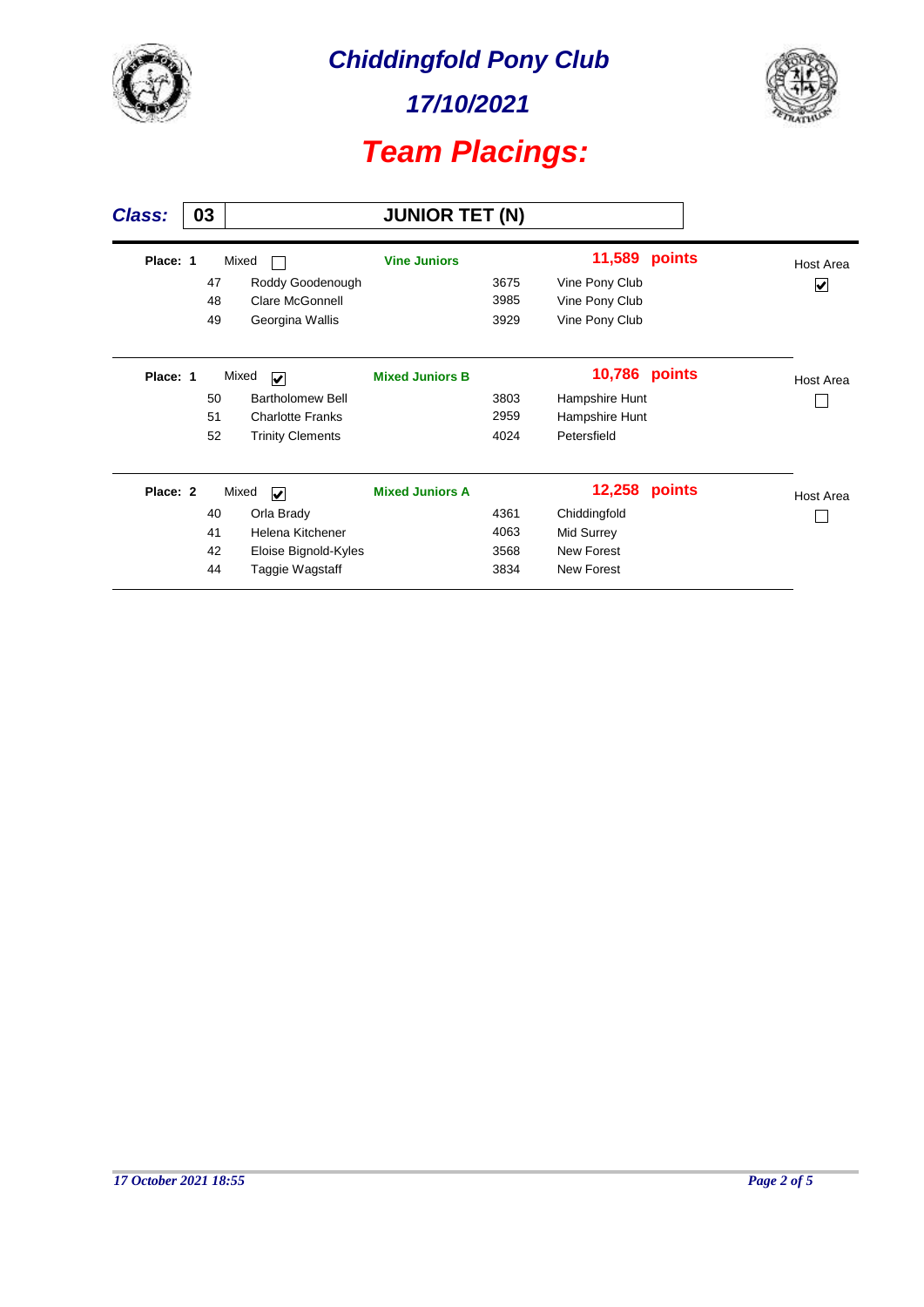

*17/10/2021*



| <b>Class:</b> | 03 |    |                                  | <b>JUNIOR TET (N)</b>  |      |                |        |           |
|---------------|----|----|----------------------------------|------------------------|------|----------------|--------|-----------|
| Place: 1      |    |    | Mixed                            | <b>Vine Juniors</b>    |      | 11,589         | points | Host Area |
|               |    | 47 | Roddy Goodenough                 |                        | 3675 | Vine Pony Club |        | V         |
|               |    | 48 | <b>Clare McGonnell</b>           |                        | 3985 | Vine Pony Club |        |           |
|               |    | 49 | Georgina Wallis                  |                        | 3929 | Vine Pony Club |        |           |
| Place: 1      |    |    | Mixed<br>$\overline{\mathbf{v}}$ | <b>Mixed Juniors B</b> |      | 10,786         | points | Host Area |
|               |    | 50 | <b>Bartholomew Bell</b>          |                        | 3803 | Hampshire Hunt |        |           |
|               |    | 51 | <b>Charlotte Franks</b>          |                        | 2959 | Hampshire Hunt |        |           |
|               |    | 52 | <b>Trinity Clements</b>          |                        | 4024 | Petersfield    |        |           |
| Place: 2      |    |    | Mixed<br>$\blacktriangledown$    | <b>Mixed Juniors A</b> |      | 12,258         | points | Host Area |
|               |    | 40 | Orla Brady                       |                        | 4361 | Chiddingfold   |        |           |
|               |    | 41 | Helena Kitchener                 |                        | 4063 | Mid Surrey     |        |           |
|               |    | 42 | Eloise Bignold-Kyles             |                        | 3568 | New Forest     |        |           |
|               |    | 44 | Taggie Wagstaff                  |                        | 3834 | New Forest     |        |           |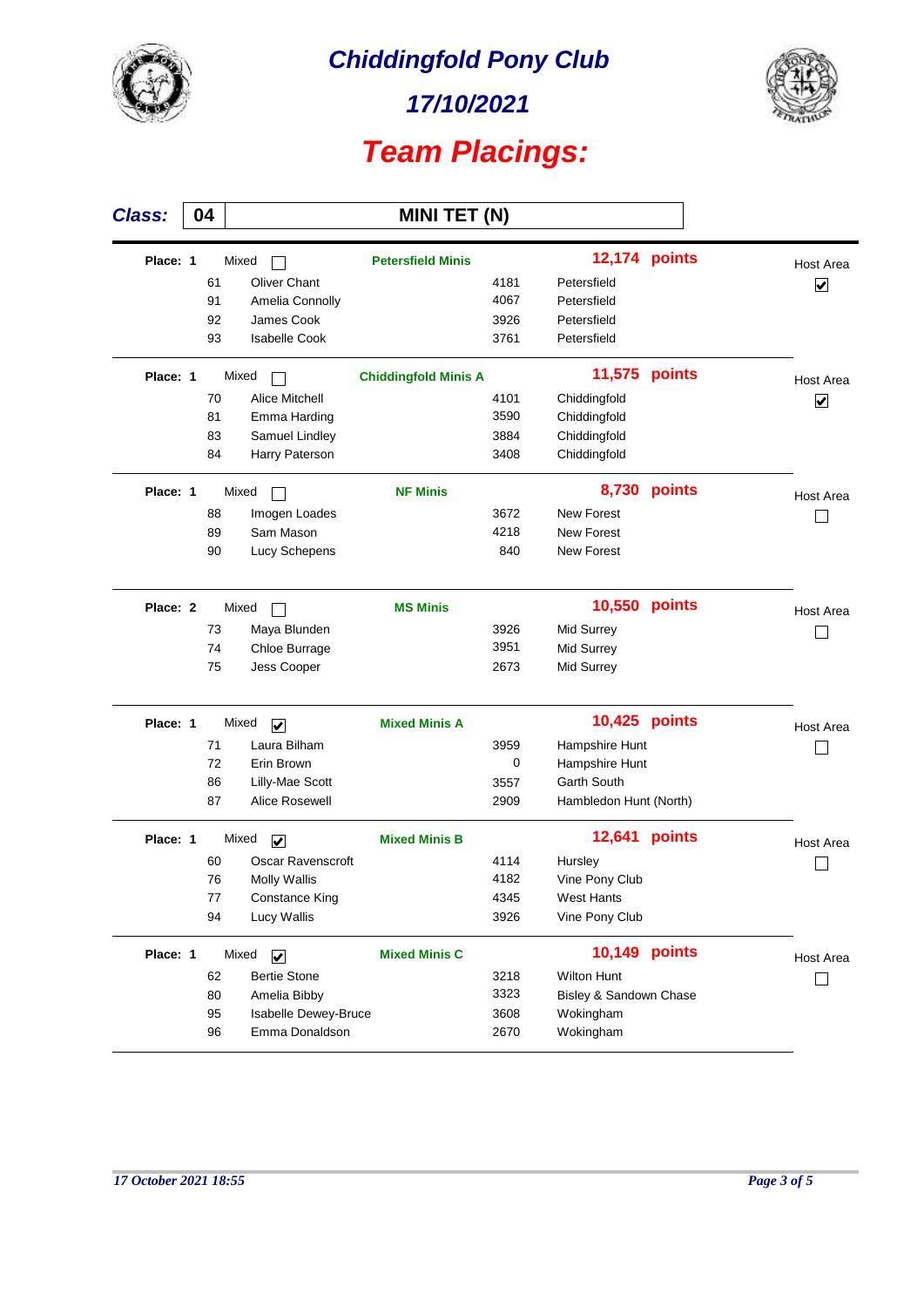

*17/10/2021*



| <b>Class:</b> | 04 |    |                                  | <b>MINI TET (N)</b>         |      |                        |               |                         |
|---------------|----|----|----------------------------------|-----------------------------|------|------------------------|---------------|-------------------------|
| Place: 1      |    |    | Mixed                            | <b>Petersfield Minis</b>    |      |                        | 12,174 points | Host Area               |
|               |    | 61 | <b>Oliver Chant</b>              |                             | 4181 | Petersfield            |               | $\overline{\mathbf{v}}$ |
|               |    | 91 | Amelia Connolly                  |                             | 4067 | Petersfield            |               |                         |
|               |    | 92 | James Cook                       |                             | 3926 | Petersfield            |               |                         |
|               |    | 93 | <b>Isabelle Cook</b>             |                             | 3761 | Petersfield            |               |                         |
| Place: 1      |    |    | Mixed                            | <b>Chiddingfold Minis A</b> |      | 11,575                 | points        | Host Area               |
|               |    | 70 | <b>Alice Mitchell</b>            |                             | 4101 | Chiddingfold           |               | $\boxed{\checkmark}$    |
|               |    | 81 | Emma Harding                     |                             | 3590 | Chiddingfold           |               |                         |
|               |    | 83 | Samuel Lindley                   |                             | 3884 | Chiddingfold           |               |                         |
|               |    | 84 | Harry Paterson                   |                             | 3408 | Chiddingfold           |               |                         |
| Place: 1      |    |    | Mixed                            | <b>NF Minis</b>             |      | 8,730                  | points        | Host Area               |
|               |    | 88 | Imogen Loades                    |                             | 3672 | <b>New Forest</b>      |               |                         |
|               |    | 89 | Sam Mason                        |                             | 4218 | <b>New Forest</b>      |               |                         |
|               |    | 90 | Lucy Schepens                    |                             | 840  | <b>New Forest</b>      |               |                         |
| Place: 2      |    |    | Mixed                            | <b>MS Minis</b>             |      | 10,550                 | points        | Host Area               |
|               |    | 73 | Maya Blunden                     |                             | 3926 | Mid Surrey             |               |                         |
|               |    | 74 | Chloe Burrage                    |                             | 3951 | Mid Surrey             |               |                         |
|               |    | 75 | Jess Cooper                      |                             | 2673 | Mid Surrey             |               |                         |
| Place: 1      |    |    | Mixed<br>$\overline{\mathbf{v}}$ | <b>Mixed Minis A</b>        |      | 10,425                 | points        | Host Area               |
|               |    | 71 | Laura Bilham                     |                             | 3959 | Hampshire Hunt         |               |                         |
|               |    | 72 | Erin Brown                       |                             | 0    | Hampshire Hunt         |               |                         |
|               |    | 86 | Lilly-Mae Scott                  |                             | 3557 | Garth South            |               |                         |
|               |    | 87 | Alice Rosewell                   |                             | 2909 | Hambledon Hunt (North) |               |                         |
| Place: 1      |    |    | Mixed<br>$\overline{\mathbf{v}}$ | <b>Mixed Minis B</b>        |      | 12,641                 | points        | Host Area               |
|               |    | 60 | <b>Oscar Ravenscroft</b>         |                             | 4114 | Hursley                |               |                         |
|               |    | 76 | <b>Molly Wallis</b>              |                             | 4182 | Vine Pony Club         |               |                         |
|               |    | 77 | <b>Constance King</b>            |                             | 4345 | West Hants             |               |                         |
|               |    | 94 | Lucy Wallis                      |                             | 3926 | Vine Pony Club         |               |                         |
| Place: 1      |    |    | Mixed<br>$\overline{\mathbf{v}}$ | <b>Mixed Minis C</b>        |      |                        | 10,149 points | Host Area               |
|               |    | 62 | <b>Bertie Stone</b>              |                             | 3218 | <b>Wilton Hunt</b>     |               |                         |
|               |    | 80 | Amelia Bibby                     |                             | 3323 | Bisley & Sandown Chase |               |                         |
|               |    | 95 | Isabelle Dewey-Bruce             |                             | 3608 | Wokingham              |               |                         |
|               |    | 96 | Emma Donaldson                   |                             | 2670 | Wokingham              |               |                         |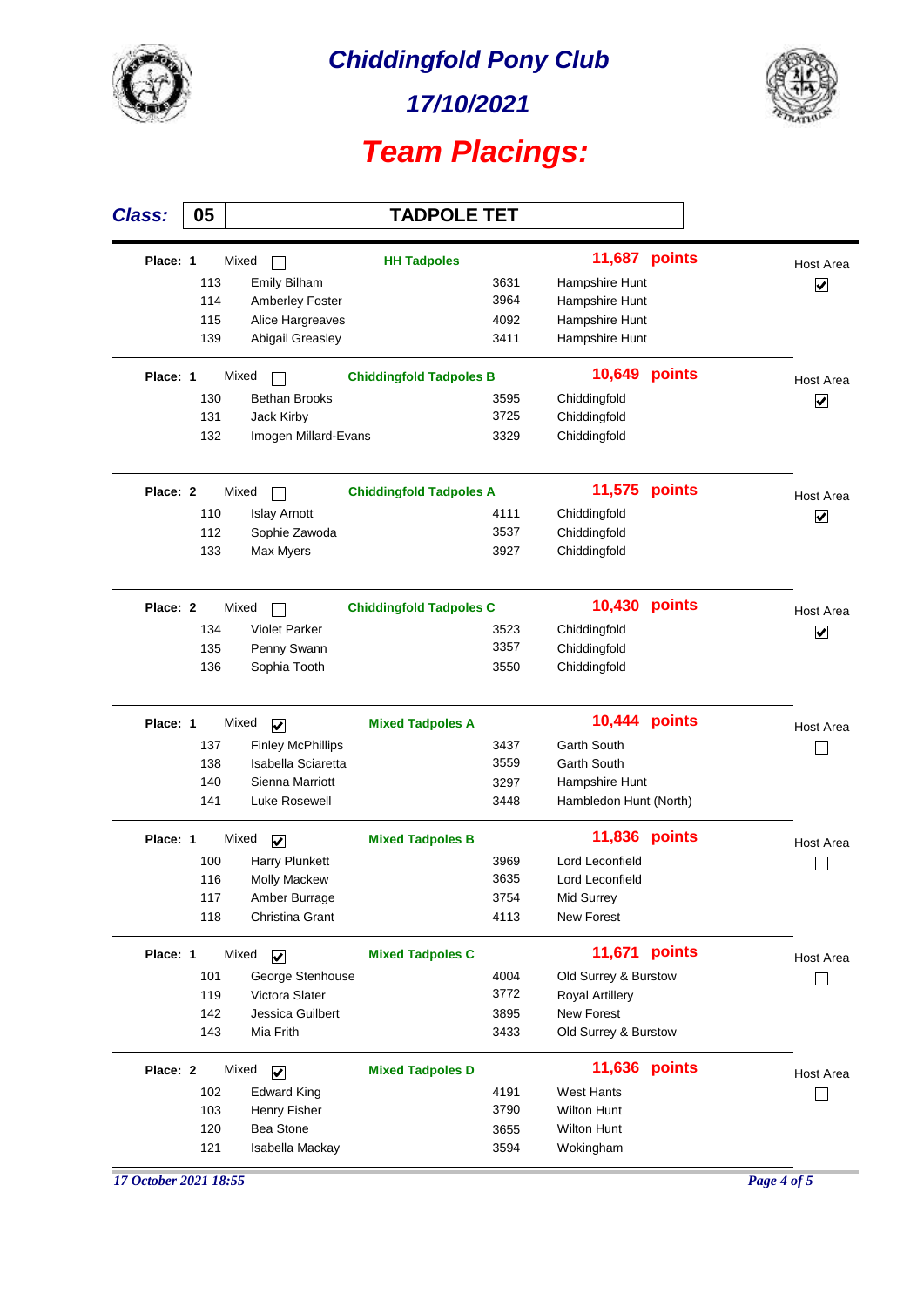

*17/10/2021*



| <b>Class:</b>         | 05         |                                    | <b>TADPOLE TET</b>             |              |                               |        |                      |
|-----------------------|------------|------------------------------------|--------------------------------|--------------|-------------------------------|--------|----------------------|
| Place: 1              |            | Mixed                              | <b>HH Tadpoles</b>             |              | <b>11,687 points</b>          |        | Host Area            |
|                       | 113        | <b>Emily Bilham</b>                |                                | 3631         | Hampshire Hunt                |        | ⊽                    |
|                       | 114        | Amberley Foster                    |                                | 3964         | Hampshire Hunt                |        |                      |
|                       | 115        | Alice Hargreaves                   |                                | 4092         | Hampshire Hunt                |        |                      |
|                       | 139        | Abigail Greasley                   |                                | 3411         | Hampshire Hunt                |        |                      |
| Place: 1              |            | Mixed                              | <b>Chiddingfold Tadpoles B</b> |              | 10,649                        | points | Host Area            |
|                       | 130        | <b>Bethan Brooks</b>               |                                | 3595         | Chiddingfold                  |        | ☑                    |
|                       | 131        | Jack Kirby                         |                                | 3725         | Chiddingfold                  |        |                      |
|                       | 132        | Imogen Millard-Evans               |                                | 3329         | Chiddingfold                  |        |                      |
| Place: 2              |            | Mixed                              | <b>Chiddingfold Tadpoles A</b> |              | 11,575                        | points | Host Area            |
|                       | 110        | <b>Islay Arnott</b>                |                                | 4111         | Chiddingfold                  |        | $\blacktriangledown$ |
|                       | 112        | Sophie Zawoda                      |                                | 3537         | Chiddingfold                  |        |                      |
|                       | 133        | Max Myers                          |                                | 3927         | Chiddingfold                  |        |                      |
| Place: 2              |            | Mixed                              | <b>Chiddingfold Tadpoles C</b> |              | 10,430                        | points | Host Area            |
|                       | 134        | <b>Violet Parker</b>               |                                | 3523         | Chiddingfold                  |        | V                    |
|                       | 135        | Penny Swann                        |                                | 3357         | Chiddingfold                  |        |                      |
|                       | 136        | Sophia Tooth                       |                                | 3550         | Chiddingfold                  |        |                      |
| Place: 1              |            | Mixed<br>$\overline{\mathbf{v}}$   | <b>Mixed Tadpoles A</b>        |              | 10,444                        | points | Host Area            |
|                       | 137        | <b>Finley McPhillips</b>           |                                | 3437         | Garth South                   |        |                      |
|                       | 138        | Isabella Sciaretta                 |                                | 3559         | Garth South                   |        |                      |
|                       | 140        | Sienna Marriott                    |                                | 3297         | Hampshire Hunt                |        |                      |
|                       | 141        | Luke Rosewell                      |                                | 3448         | Hambledon Hunt (North)        |        |                      |
| Place: 1              |            | Mixed<br>$\overline{\mathbf{v}}$   | <b>Mixed Tadpoles B</b>        |              | 11,836                        | points | <b>Host Area</b>     |
|                       | 100        | Harry Plunkett                     |                                | 3969         | Lord Leconfield               |        |                      |
|                       | 116        | Molly Mackew                       |                                | 3635         | Lord Leconfield               |        |                      |
|                       | 117        | Amber Burrage                      |                                | 3754         | Mid Surrey                    |        |                      |
|                       | 118        | Christina Grant                    |                                | 4113         | <b>New Forest</b>             |        |                      |
| Place: 1              |            | Mixed<br>$\overline{\mathbf{v}}$   | <b>Mixed Tadpoles C</b>        |              | 11,671 points                 |        | Host Area            |
|                       | 101        | George Stenhouse                   |                                | 4004         | Old Surrey & Burstow          |        |                      |
|                       | 119        | Victora Slater<br>Jessica Guilbert |                                | 3772         | Royal Artillery<br>New Forest |        |                      |
|                       | 142<br>143 | Mia Frith                          |                                | 3895<br>3433 | Old Surrey & Burstow          |        |                      |
| Place: 2              |            | Mixed<br>$\overline{\mathbf{v}}$   | <b>Mixed Tadpoles D</b>        |              | 11,636 points                 |        | Host Area            |
|                       | 102        | <b>Edward King</b>                 |                                | 4191         | <b>West Hants</b>             |        |                      |
|                       | 103        | Henry Fisher                       |                                | 3790         | <b>Wilton Hunt</b>            |        |                      |
|                       | 120        | <b>Bea Stone</b>                   |                                | 3655         | <b>Wilton Hunt</b>            |        |                      |
|                       | 121        | Isabella Mackay                    |                                | 3594         | Wokingham                     |        |                      |
| 17 October 2021 18:55 |            |                                    |                                |              |                               |        | Page 4 of 5          |